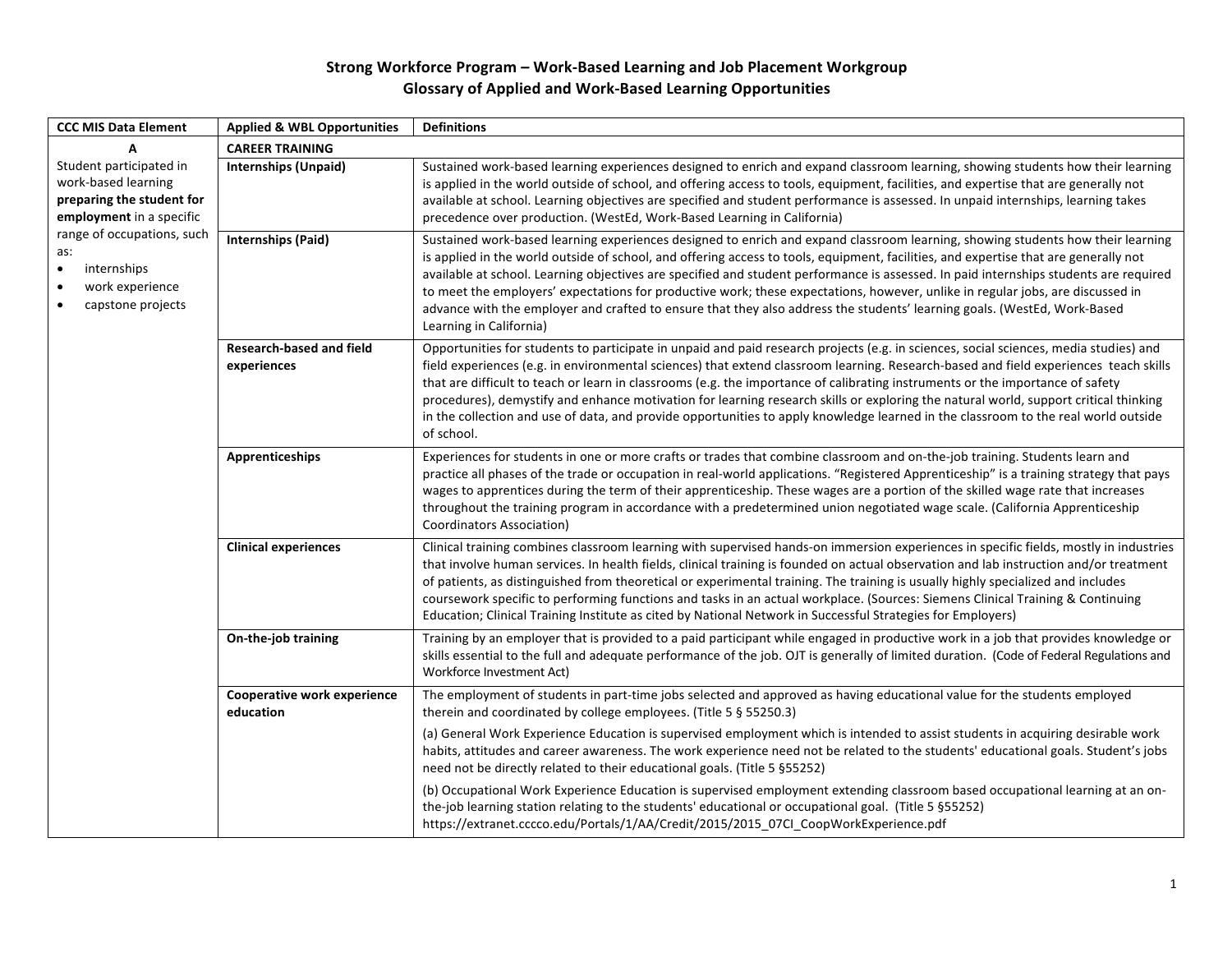## Strong Workforce Program - Work-Based Learning and Job Placement Workgroup **Glossary of Applied and Work-Based Learning Opportunities**

| <b>CCC MIS Data Element</b>                                                                                                                                                                                                   | <b>Applied &amp; WBL Opportunities</b>          | <b>Definitions</b>                                                                                                                                                                                                                                                                                                                                                                                                                                                                                                                                                                                                                                                                                          |
|-------------------------------------------------------------------------------------------------------------------------------------------------------------------------------------------------------------------------------|-------------------------------------------------|-------------------------------------------------------------------------------------------------------------------------------------------------------------------------------------------------------------------------------------------------------------------------------------------------------------------------------------------------------------------------------------------------------------------------------------------------------------------------------------------------------------------------------------------------------------------------------------------------------------------------------------------------------------------------------------------------------------|
|                                                                                                                                                                                                                               | <b>CAREER TRAINING</b>                          |                                                                                                                                                                                                                                                                                                                                                                                                                                                                                                                                                                                                                                                                                                             |
| Student participated in<br>work-based learning<br>preparing the student for<br>employment in a specific<br>range of occupations, such<br>as:<br>internships<br>work experience<br>$\bullet$<br>capstone projects<br>$\bullet$ | <b>Internships (Unpaid)</b>                     | Sustained work-based learning experiences designed to enrich and expand classroom learning, showing students how their learning<br>is applied in the world outside of school, and offering access to tools, equipment, facilities, and expertise that are generally not<br>available at school. Learning objectives are specified and student performance is assessed. In unpaid internships, learning takes<br>precedence over production. (WestEd, Work-Based Learning in California)                                                                                                                                                                                                                     |
|                                                                                                                                                                                                                               | <b>Internships (Paid)</b>                       | Sustained work-based learning experiences designed to enrich and expand classroom learning, showing students how their learning<br>is applied in the world outside of school, and offering access to tools, equipment, facilities, and expertise that are generally not<br>available at school. Learning objectives are specified and student performance is assessed. In paid internships students are required<br>to meet the employers' expectations for productive work; these expectations, however, unlike in regular jobs, are discussed in<br>advance with the employer and crafted to ensure that they also address the students' learning goals. (WestEd, Work-Based<br>Learning in California)   |
|                                                                                                                                                                                                                               | <b>Research-based and field</b><br>experiences  | Opportunities for students to participate in unpaid and paid research projects (e.g. in sciences, social sciences, media studies) and<br>field experiences (e.g. in environmental sciences) that extend classroom learning. Research-based and field experiences teach skills<br>that are difficult to teach or learn in classrooms (e.g. the importance of calibrating instruments or the importance of safety<br>procedures), demystify and enhance motivation for learning research skills or exploring the natural world, support critical thinking<br>in the collection and use of data, and provide opportunities to apply knowledge learned in the classroom to the real world outside<br>of school. |
|                                                                                                                                                                                                                               | <b>Apprenticeships</b>                          | Experiences for students in one or more crafts or trades that combine classroom and on-the-job training. Students learn and<br>practice all phases of the trade or occupation in real-world applications. "Registered Apprenticeship" is a training strategy that pays<br>wages to apprentices during the term of their apprenticeship. These wages are a portion of the skilled wage rate that increases<br>throughout the training program in accordance with a predetermined union negotiated wage scale. (California Apprenticeship<br><b>Coordinators Association)</b>                                                                                                                                 |
|                                                                                                                                                                                                                               | <b>Clinical experiences</b>                     | Clinical training combines classroom learning with supervised hands-on immersion experiences in specific fields, mostly in industries<br>that involve human services. In health fields, clinical training is founded on actual observation and lab instruction and/or treatment<br>of patients, as distinguished from theoretical or experimental training. The training is usually highly specialized and includes<br>coursework specific to performing functions and tasks in an actual workplace. (Sources: Siemens Clinical Training & Continuing<br>Education; Clinical Training Institute as cited by National Network in Successful Strategies for Employers)                                        |
|                                                                                                                                                                                                                               | On-the-job training                             | Training by an employer that is provided to a paid participant while engaged in productive work in a job that provides knowledge or<br>skills essential to the full and adequate performance of the job. OJT is generally of limited duration. (Code of Federal Regulations and<br>Workforce Investment Act)                                                                                                                                                                                                                                                                                                                                                                                                |
|                                                                                                                                                                                                                               | <b>Cooperative work experience</b><br>education | The employment of students in part-time jobs selected and approved as having educational value for the students employed<br>therein and coordinated by college employees. (Title 5 § 55250.3)                                                                                                                                                                                                                                                                                                                                                                                                                                                                                                               |
|                                                                                                                                                                                                                               |                                                 | (a) General Work Experience Education is supervised employment which is intended to assist students in acquiring desirable work<br>habits, attitudes and career awareness. The work experience need not be related to the students' educational goals. Student's jobs<br>need not be directly related to their educational goals. (Title 5 §55252)                                                                                                                                                                                                                                                                                                                                                          |
|                                                                                                                                                                                                                               |                                                 | (b) Occupational Work Experience Education is supervised employment extending classroom based occupational learning at an on-<br>the-job learning station relating to the students' educational or occupational goal. (Title 5 § 55252)<br>https://extranet.cccco.edu/Portals/1/AA/Credit/2015/2015_07Cl_CoopWorkExperience.pdf                                                                                                                                                                                                                                                                                                                                                                             |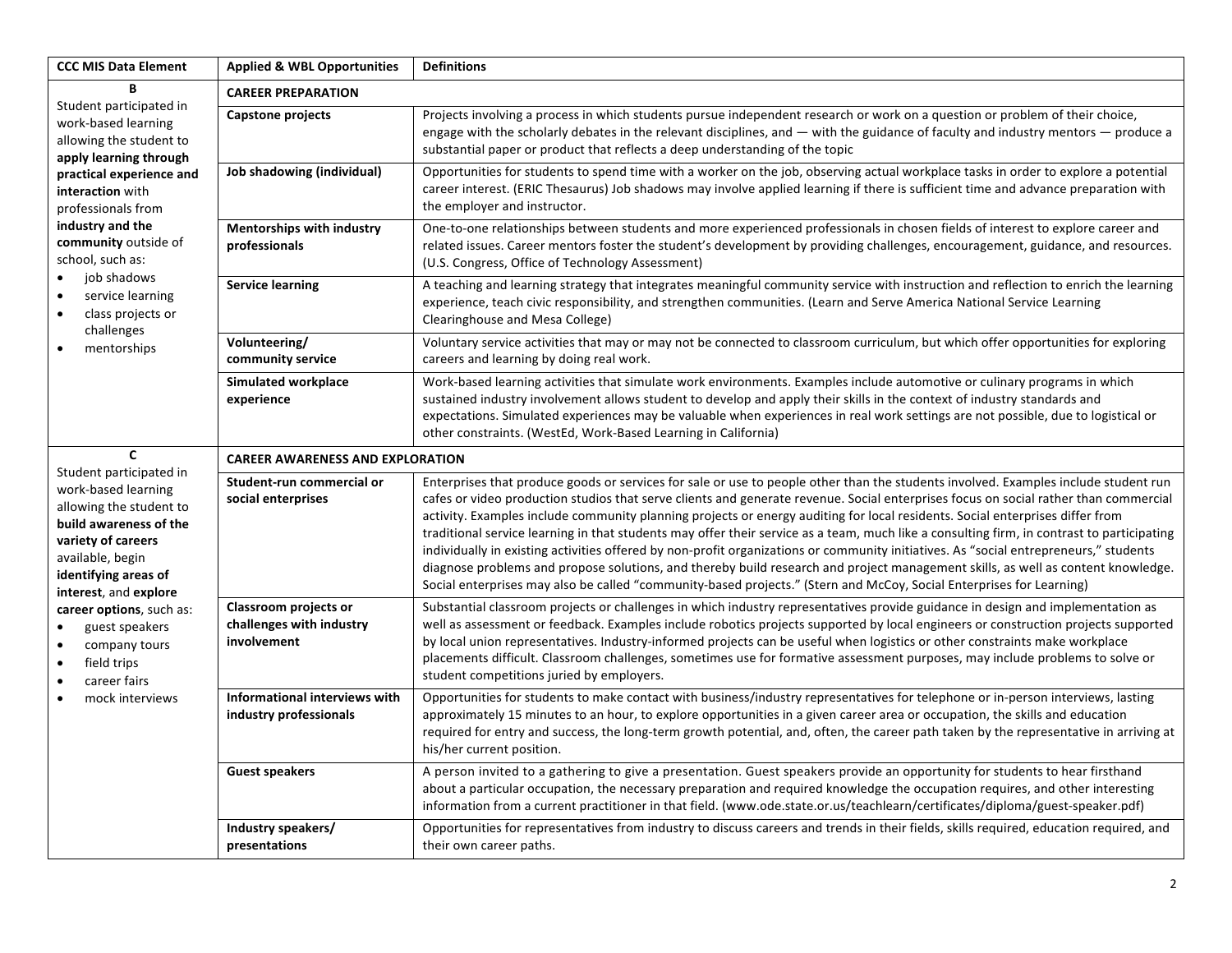| <b>CCC MIS Data Element</b>                                                                                                                                                                                                                                                                                                                                           | <b>Applied &amp; WBL Opportunities</b>                           | <b>Definitions</b>                                                                                                                                                                                                                                                                                                                                                                                                                                                                                                                                                                                                                                                                                                                                                                                                                                                                                                                                              |  |
|-----------------------------------------------------------------------------------------------------------------------------------------------------------------------------------------------------------------------------------------------------------------------------------------------------------------------------------------------------------------------|------------------------------------------------------------------|-----------------------------------------------------------------------------------------------------------------------------------------------------------------------------------------------------------------------------------------------------------------------------------------------------------------------------------------------------------------------------------------------------------------------------------------------------------------------------------------------------------------------------------------------------------------------------------------------------------------------------------------------------------------------------------------------------------------------------------------------------------------------------------------------------------------------------------------------------------------------------------------------------------------------------------------------------------------|--|
| B                                                                                                                                                                                                                                                                                                                                                                     | <b>CAREER PREPARATION</b>                                        |                                                                                                                                                                                                                                                                                                                                                                                                                                                                                                                                                                                                                                                                                                                                                                                                                                                                                                                                                                 |  |
| Student participated in<br>work-based learning<br>allowing the student to<br>apply learning through<br>practical experience and<br>interaction with<br>professionals from<br>industry and the<br>community outside of<br>school, such as:<br>job shadows<br>service learning<br>$\bullet$<br>class projects or<br>$\bullet$<br>challenges<br>mentorships<br>$\bullet$ | <b>Capstone projects</b>                                         | Projects involving a process in which students pursue independent research or work on a question or problem of their choice,<br>engage with the scholarly debates in the relevant disciplines, and $-$ with the guidance of faculty and industry mentors $-$ produce a<br>substantial paper or product that reflects a deep understanding of the topic                                                                                                                                                                                                                                                                                                                                                                                                                                                                                                                                                                                                          |  |
|                                                                                                                                                                                                                                                                                                                                                                       | Job shadowing (individual)                                       | Opportunities for students to spend time with a worker on the job, observing actual workplace tasks in order to explore a potential<br>career interest. (ERIC Thesaurus) Job shadows may involve applied learning if there is sufficient time and advance preparation with<br>the employer and instructor.                                                                                                                                                                                                                                                                                                                                                                                                                                                                                                                                                                                                                                                      |  |
|                                                                                                                                                                                                                                                                                                                                                                       | <b>Mentorships with industry</b><br>professionals                | One-to-one relationships between students and more experienced professionals in chosen fields of interest to explore career and<br>related issues. Career mentors foster the student's development by providing challenges, encouragement, guidance, and resources.<br>(U.S. Congress, Office of Technology Assessment)                                                                                                                                                                                                                                                                                                                                                                                                                                                                                                                                                                                                                                         |  |
|                                                                                                                                                                                                                                                                                                                                                                       | <b>Service learning</b>                                          | A teaching and learning strategy that integrates meaningful community service with instruction and reflection to enrich the learning<br>experience, teach civic responsibility, and strengthen communities. (Learn and Serve America National Service Learning<br>Clearinghouse and Mesa College)                                                                                                                                                                                                                                                                                                                                                                                                                                                                                                                                                                                                                                                               |  |
|                                                                                                                                                                                                                                                                                                                                                                       | Volunteering/<br>community service                               | Voluntary service activities that may or may not be connected to classroom curriculum, but which offer opportunities for exploring<br>careers and learning by doing real work.                                                                                                                                                                                                                                                                                                                                                                                                                                                                                                                                                                                                                                                                                                                                                                                  |  |
|                                                                                                                                                                                                                                                                                                                                                                       | <b>Simulated workplace</b><br>experience                         | Work-based learning activities that simulate work environments. Examples include automotive or culinary programs in which<br>sustained industry involvement allows student to develop and apply their skills in the context of industry standards and<br>expectations. Simulated experiences may be valuable when experiences in real work settings are not possible, due to logistical or<br>other constraints. (WestEd, Work-Based Learning in California)                                                                                                                                                                                                                                                                                                                                                                                                                                                                                                    |  |
| $\mathbf{C}$                                                                                                                                                                                                                                                                                                                                                          | <b>CAREER AWARENESS AND EXPLORATION</b>                          |                                                                                                                                                                                                                                                                                                                                                                                                                                                                                                                                                                                                                                                                                                                                                                                                                                                                                                                                                                 |  |
| Student participated in<br>work-based learning<br>allowing the student to<br>build awareness of the<br>variety of careers<br>available, begin<br>identifying areas of<br>interest, and explore<br>career options, such as:<br>guest speakers<br>company tours<br>$\bullet$<br>field trips<br>$\bullet$<br>career fairs<br>$\bullet$<br>mock interviews                | Student-run commercial or<br>social enterprises                  | Enterprises that produce goods or services for sale or use to people other than the students involved. Examples include student run<br>cafes or video production studios that serve clients and generate revenue. Social enterprises focus on social rather than commercial<br>activity. Examples include community planning projects or energy auditing for local residents. Social enterprises differ from<br>traditional service learning in that students may offer their service as a team, much like a consulting firm, in contrast to participating<br>individually in existing activities offered by non-profit organizations or community initiatives. As "social entrepreneurs," students<br>diagnose problems and propose solutions, and thereby build research and project management skills, as well as content knowledge.<br>Social enterprises may also be called "community-based projects." (Stern and McCoy, Social Enterprises for Learning) |  |
|                                                                                                                                                                                                                                                                                                                                                                       | Classroom projects or<br>challenges with industry<br>involvement | Substantial classroom projects or challenges in which industry representatives provide guidance in design and implementation as<br>well as assessment or feedback. Examples include robotics projects supported by local engineers or construction projects supported<br>by local union representatives. Industry-informed projects can be useful when logistics or other constraints make workplace<br>placements difficult. Classroom challenges, sometimes use for formative assessment purposes, may include problems to solve or<br>student competitions juried by employers.                                                                                                                                                                                                                                                                                                                                                                              |  |
|                                                                                                                                                                                                                                                                                                                                                                       | Informational interviews with<br>industry professionals          | Opportunities for students to make contact with business/industry representatives for telephone or in-person interviews, lasting<br>approximately 15 minutes to an hour, to explore opportunities in a given career area or occupation, the skills and education<br>required for entry and success, the long-term growth potential, and, often, the career path taken by the representative in arriving at<br>his/her current position.                                                                                                                                                                                                                                                                                                                                                                                                                                                                                                                         |  |
|                                                                                                                                                                                                                                                                                                                                                                       | <b>Guest speakers</b>                                            | A person invited to a gathering to give a presentation. Guest speakers provide an opportunity for students to hear firsthand<br>about a particular occupation, the necessary preparation and required knowledge the occupation requires, and other interesting<br>information from a current practitioner in that field. (www.ode.state.or.us/teachlearn/certificates/diploma/guest-speaker.pdf)                                                                                                                                                                                                                                                                                                                                                                                                                                                                                                                                                                |  |
|                                                                                                                                                                                                                                                                                                                                                                       | Industry speakers/<br>presentations                              | Opportunities for representatives from industry to discuss careers and trends in their fields, skills required, education required, and<br>their own career paths.                                                                                                                                                                                                                                                                                                                                                                                                                                                                                                                                                                                                                                                                                                                                                                                              |  |